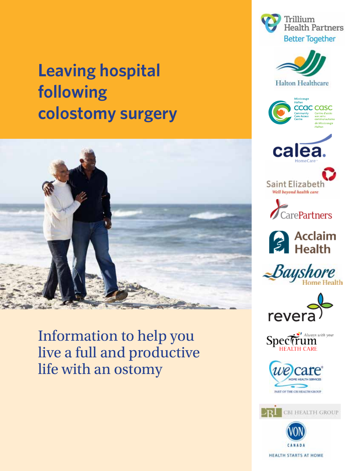# **Leaving hospital following colostomy surgery**



Information to help you live a full and productive life with an ostomy



Trillium

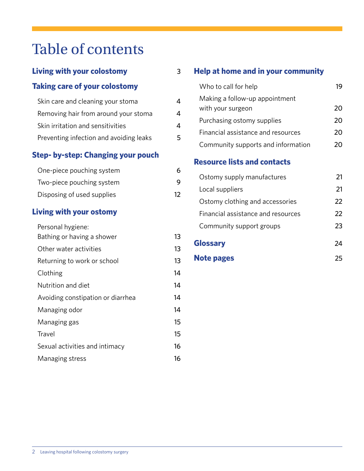## Table of contents

## **Living with your colostomy** 3

### **Taking care of your colostomy**

| Skin care and cleaning your stoma       |   |
|-----------------------------------------|---|
| Removing hair from around your stoma    | 4 |
| Skin irritation and sensitivities       | Λ |
| Preventing infection and avoiding leaks | 5 |

### **Step- by-step: Changing your pouch**

| One-piece pouching system  | 6  |
|----------------------------|----|
| Two-piece pouching system  | 9  |
| Disposing of used supplies | 12 |

### **Living with your ostomy**

| Personal hygiene:                 |    |
|-----------------------------------|----|
| Bathing or having a shower        | 13 |
| Other water activities            | 13 |
| Returning to work or school       | 13 |
| Clothing                          | 14 |
| Nutrition and diet                | 14 |
| Avoiding constipation or diarrhea | 14 |
| Managing odor                     | 14 |
| Managing gas                      | 15 |
| Travel                            | 15 |
| Sexual activities and intimacy    | 16 |
| Managing stress                   | 16 |

### **Help at home and in your community**

| Who to call for help                                |    |
|-----------------------------------------------------|----|
| Making a follow-up appointment<br>with your surgeon | 20 |
| Purchasing ostomy supplies                          | 20 |
| Financial assistance and resources                  | 20 |
| Community supports and information                  |    |

### **Resource lists and contacts**

| Ostomy supply manufactures         | 21 |
|------------------------------------|----|
| Local suppliers                    | 21 |
| Ostomy clothing and accessories    | 22 |
| Financial assistance and resources | 22 |
| Community support groups           | 23 |
| <b>Glossary</b>                    |    |

**Note pages** 25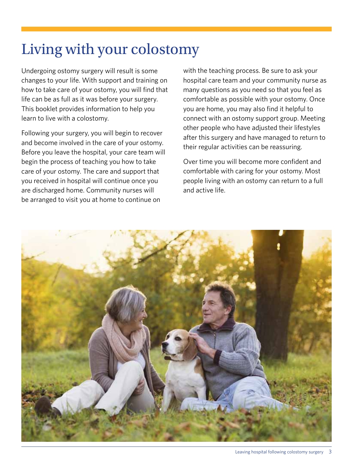# Living with your colostomy

Undergoing ostomy surgery will result is some changes to your life. With support and training on how to take care of your ostomy, you will find that life can be as full as it was before your surgery. This booklet provides information to help you learn to live with a colostomy.

Following your surgery, you will begin to recover and become involved in the care of your ostomy. Before you leave the hospital, your care team will begin the process of teaching you how to take care of your ostomy. The care and support that you received in hospital will continue once you are discharged home. Community nurses will be arranged to visit you at home to continue on

with the teaching process. Be sure to ask your hospital care team and your community nurse as many questions as you need so that you feel as comfortable as possible with your ostomy. Once you are home, you may also find it helpful to connect with an ostomy support group. Meeting other people who have adjusted their lifestyles after this surgery and have managed to return to their regular activities can be reassuring.

Over time you will become more confident and comfortable with caring for your ostomy. Most people living with an ostomy can return to a full and active life.

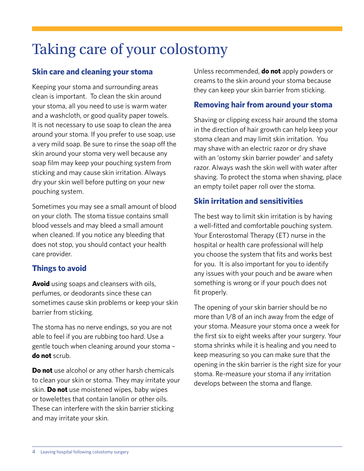# Taking care of your colostomy

#### **Skin care and cleaning your stoma**

Keeping your stoma and surrounding areas clean is important. To clean the skin around your stoma, all you need to use is warm water and a washcloth, or good quality paper towels. It is not necessary to use soap to clean the area around your stoma. If you prefer to use soap, use a very mild soap. Be sure to rinse the soap off the skin around your stoma very well because any soap film may keep your pouching system from sticking and may cause skin irritation. Always dry your skin well before putting on your new pouching system.

Sometimes you may see a small amount of blood on your cloth. The stoma tissue contains small blood vessels and may bleed a small amount when cleaned. If you notice any bleeding that does not stop, you should contact your health care provider.

#### **Things to avoid**

**Avoid** using soaps and cleansers with oils, perfumes, or deodorants since these can sometimes cause skin problems or keep your skin barrier from sticking.

The stoma has no nerve endings, so you are not able to feel if you are rubbing too hard. Use a gentle touch when cleaning around your stoma – **do not** scrub.

**Do not** use alcohol or any other harsh chemicals to clean your skin or stoma. They may irritate your skin. **Do not** use moistened wipes, baby wipes or towelettes that contain lanolin or other oils. These can interfere with the skin barrier sticking and may irritate your skin.

Unless recommended, **do not** apply powders or creams to the skin around your stoma because they can keep your skin barrier from sticking.

#### **Removing hair from around your stoma**

Shaving or clipping excess hair around the stoma in the direction of hair growth can help keep your stoma clean and may limit skin irritation. You may shave with an electric razor or dry shave with an 'ostomy skin barrier powder' and safety razor. Always wash the skin well with water after shaving. To protect the stoma when shaving, place an empty toilet paper roll over the stoma.

#### **Skin irritation and sensitivities**

The best way to limit skin irritation is by having a well-fitted and comfortable pouching system. Your Enterostomal Therapy (ET) nurse in the hospital or health care professional will help you choose the system that fits and works best for you. It is also important for you to identify any issues with your pouch and be aware when something is wrong or if your pouch does not fit properly.

The opening of your skin barrier should be no more than 1/8 of an inch away from the edge of your stoma. Measure your stoma once a week for the first six to eight weeks after your surgery. Your stoma shrinks while it is healing and you need to keep measuring so you can make sure that the opening in the skin barrier is the right size for your stoma. Re-measure your stoma if any irritation develops between the stoma and flange.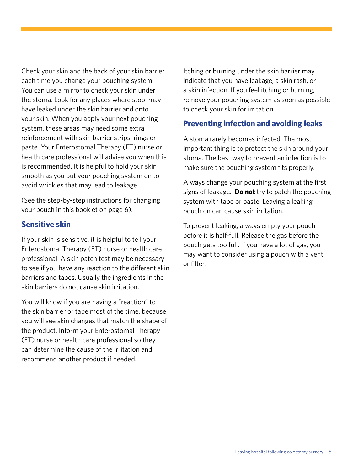Check your skin and the back of your skin barrier each time you change your pouching system. You can use a mirror to check your skin under the stoma. Look for any places where stool may have leaked under the skin barrier and onto your skin. When you apply your next pouching system, these areas may need some extra reinforcement with skin barrier strips, rings or paste. Your Enterostomal Therapy (ET) nurse or health care professional will advise you when this is recommended. It is helpful to hold your skin smooth as you put your pouching system on to avoid wrinkles that may lead to leakage.

(See the step-by-step instructions for changing your pouch in this booklet on page 6).

#### **Sensitive skin**

If your skin is sensitive, it is helpful to tell your Enterostomal Therapy (ET) nurse or health care professional. A skin patch test may be necessary to see if you have any reaction to the different skin barriers and tapes. Usually the ingredients in the skin barriers do not cause skin irritation.

You will know if you are having a "reaction" to the skin barrier or tape most of the time, because you will see skin changes that match the shape of the product. Inform your Enterostomal Therapy (ET) nurse or health care professional so they can determine the cause of the irritation and recommend another product if needed.

Itching or burning under the skin barrier may indicate that you have leakage, a skin rash, or a skin infection. If you feel itching or burning, remove your pouching system as soon as possible to check your skin for irritation.

### **Preventing infection and avoiding leaks**

A stoma rarely becomes infected. The most important thing is to protect the skin around your stoma. The best way to prevent an infection is to make sure the pouching system fits properly.

Always change your pouching system at the first signs of leakage. **Do not** try to patch the pouching system with tape or paste. Leaving a leaking pouch on can cause skin irritation.

To prevent leaking, always empty your pouch before it is half-full. Release the gas before the pouch gets too full. If you have a lot of gas, you may want to consider using a pouch with a vent or filter.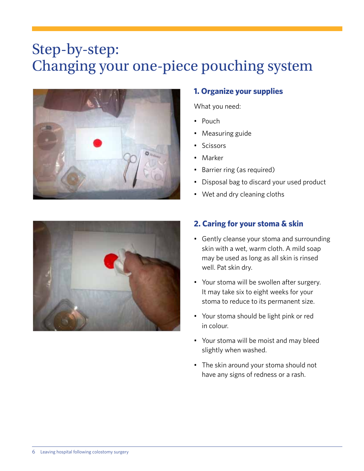## Step-by-step: Changing your one-piece pouching system



### **1. Organize your supplies**

What you need:

- • Pouch
- Measuring guide
- • Scissors
- • Marker
- Barrier ring (as required)
- Disposal bag to discard your used product
- Wet and dry cleaning cloths



#### **2. Caring for your stoma & skin**

- Gently cleanse your stoma and surrounding skin with a wet, warm cloth. A mild soap may be used as long as all skin is rinsed well. Pat skin dry.
- Your stoma will be swollen after surgery. It may take six to eight weeks for your stoma to reduce to its permanent size.
- • Your stoma should be light pink or red in colour.
- • Your stoma will be moist and may bleed slightly when washed.
- The skin around your stoma should not have any signs of redness or a rash.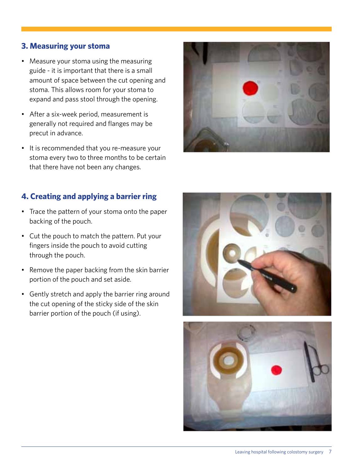#### **3. Measuring your stoma**

- Measure your stoma using the measuring guide - it is important that there is a small amount of space between the cut opening and stoma. This allows room for your stoma to expand and pass stool through the opening.
- • After a six-week period, measurement is generally not required and flanges may be precut in advance.
- • It is recommended that you re-measure your stoma every two to three months to be certain that there have not been any changes.



#### **4. Creating and applying a barrier ring**

- Trace the pattern of your stoma onto the paper backing of the pouch.
- Cut the pouch to match the pattern. Put your fingers inside the pouch to avoid cutting through the pouch.
- Remove the paper backing from the skin barrier portion of the pouch and set aside.
- Gently stretch and apply the barrier ring around the cut opening of the sticky side of the skin barrier portion of the pouch (if using).



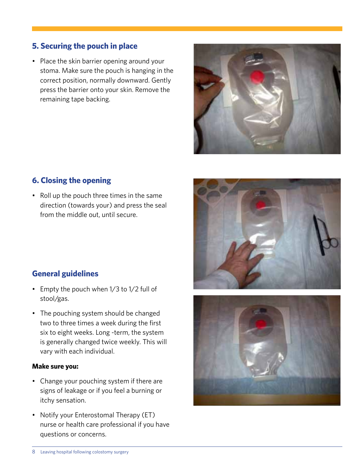#### **5. Securing the pouch in place**

• Place the skin barrier opening around your stoma. Make sure the pouch is hanging in the correct position, normally downward. Gently press the barrier onto your skin. Remove the remaining tape backing.



#### **6. Closing the opening**

• Roll up the pouch three times in the same direction (towards your) and press the seal from the middle out, until secure.

#### **General guidelines**

- Empty the pouch when 1/3 to 1/2 full of stool/gas.
- The pouching system should be changed two to three times a week during the first six to eight weeks. Long -term, the system is generally changed twice weekly. This will vary with each individual.

#### **Make sure you:**

- Change your pouching system if there are signs of leakage or if you feel a burning or itchy sensation.
- Notify your Enterostomal Therapy (ET) nurse or health care professional if you have questions or concerns.



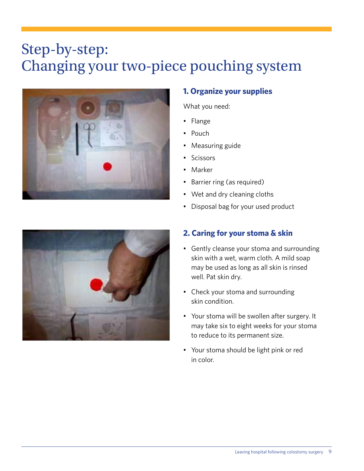## Step-by-step: Changing your two-piece pouching system



### **1. Organize your supplies**

What you need:

- • Flange
- Pouch
- Measuring guide
- • Scissors
- • Marker
- Barrier ring (as required)
- Wet and dry cleaning cloths
- Disposal bag for your used product



### **2. Caring for your stoma & skin**

- Gently cleanse your stoma and surrounding skin with a wet, warm cloth. A mild soap may be used as long as all skin is rinsed well. Pat skin dry.
- Check your stoma and surrounding skin condition.
- • Your stoma will be swollen after surgery. It may take six to eight weeks for your stoma to reduce to its permanent size.
- • Your stoma should be light pink or red in color.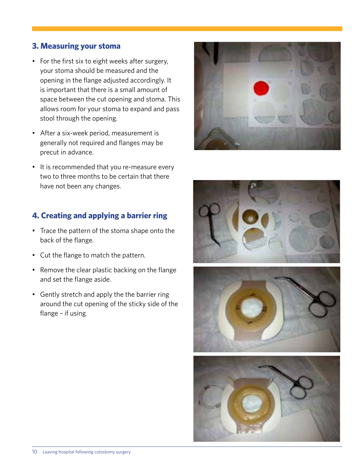#### **3. Measuring your stoma**

- For the first six to eight weeks after surgery, your stoma should be measured and the opening in the flange adjusted accordingly. It is important that there is a small amount of space between the cut opening and stoma. This allows room for your stoma to expand and pass stool through the opening.
- • After a six-week period, measurement is generally not required and flanges may be precut in advance.
- It is recommended that you re-measure every two to three months to be certain that there have not been any changes.

#### **4. Creating and applying a barrier ring**

- • Trace the pattern of the stoma shape onto the back of the flange.
- • Cut the flange to match the pattern.
- Remove the clear plastic backing on the flange and set the flange aside.
- Gently stretch and apply the the barrier ring around the cut opening of the sticky side of the flange – if using.



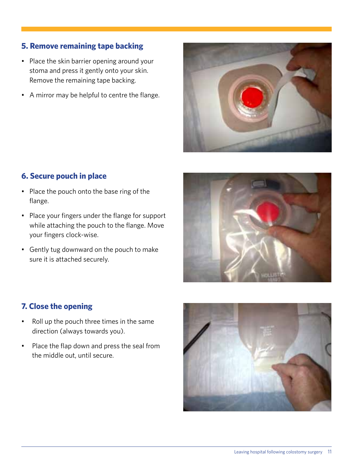#### **5. Remove remaining tape backing**

- Place the skin barrier opening around your stoma and press it gently onto your skin. Remove the remaining tape backing.
- • A mirror may be helpful to centre the flange.



#### **6. Secure pouch in place**

- Place the pouch onto the base ring of the flange.
- Place your fingers under the flange for support while attaching the pouch to the flange. Move your fingers clock-wise.
- Gently tug downward on the pouch to make sure it is attached securely.



#### **7. Close the opening**

- • Roll up the pouch three times in the same direction (always towards you).
- • Place the flap down and press the seal from the middle out, until secure.

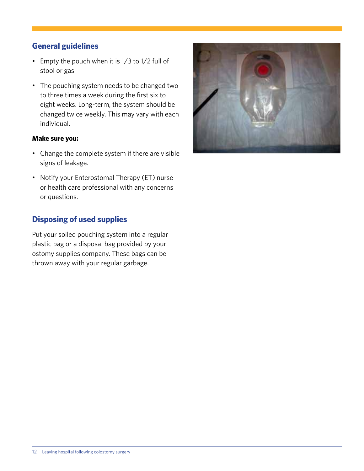#### **General guidelines**

- Empty the pouch when it is 1/3 to 1/2 full of stool or gas.
- The pouching system needs to be changed two to three times a week during the first six to eight weeks. Long-term, the system should be changed twice weekly. This may vary with each individual.

#### **Make sure you:**

- Change the complete system if there are visible signs of leakage.
- Notify your Enterostomal Therapy (ET) nurse or health care professional with any concerns or questions.

#### **Disposing of used supplies**

Put your soiled pouching system into a regular plastic bag or a disposal bag provided by your ostomy supplies company. These bags can be thrown away with your regular garbage.

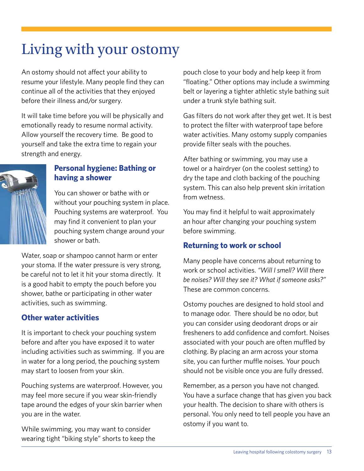# Living with your ostomy

An ostomy should not affect your ability to resume your lifestyle. Many people find they can continue all of the activities that they enjoyed before their illness and/or surgery.

It will take time before you will be physically and emotionally ready to resume normal activity. Allow yourself the recovery time. Be good to yourself and take the extra time to regain your strength and energy.

#### **Personal hygiene: Bathing or having a shower**

You can shower or bathe with or without your pouching system in place. Pouching systems are waterproof. You may find it convenient to plan your pouching system change around your shower or bath.

Water, soap or shampoo cannot harm or enter your stoma. If the water pressure is very strong, be careful not to let it hit your stoma directly. It is a good habit to empty the pouch before you shower, bathe or participating in other water activities, such as swimming.

#### **Other water activities**

It is important to check your pouching system before and after you have exposed it to water including activities such as swimming. If you are in water for a long period, the pouching system may start to loosen from your skin.

Pouching systems are waterproof. However, you may feel more secure if you wear skin-friendly tape around the edges of your skin barrier when you are in the water.

While swimming, you may want to consider wearing tight "biking style" shorts to keep the pouch close to your body and help keep it from "floating." Other options may include a swimming belt or layering a tighter athletic style bathing suit under a trunk style bathing suit.

Gas filters do not work after they get wet. It is best to protect the filter with waterproof tape before water activities. Many ostomy supply companies provide filter seals with the pouches.

After bathing or swimming, you may use a towel or a hairdryer (on the coolest setting) to dry the tape and cloth backing of the pouching system. This can also help prevent skin irritation from wetness.

You may find it helpful to wait approximately an hour after changing your pouching system before swimming.

### **Returning to work or school**

Many people have concerns about returning to work or school activities. *"Will I smell? Will there be noises? Will they see it? What if someone asks?"*  These are common concerns.

Ostomy pouches are designed to hold stool and to manage odor. There should be no odor, but you can consider using deodorant drops or air fresheners to add confidence and comfort. Noises associated with your pouch are often muffled by clothing. By placing an arm across your stoma site, you can further muffle noises. Your pouch should not be visible once you are fully dressed.

Remember, as a person you have not changed. You have a surface change that has given you back your health. The decision to share with others is personal. You only need to tell people you have an ostomy if you want to.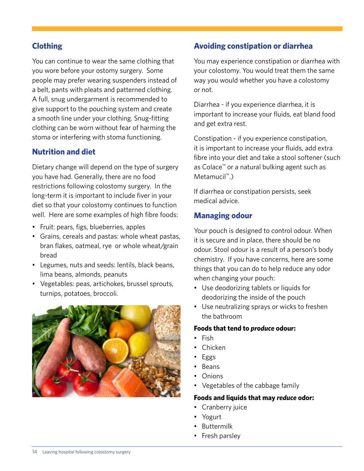#### **Clothing**

You can continue to wear the same clothing that you wore before your ostomy surgery. Some people may prefer wearing suspenders instead of a belt, pants with pleats and patterned clothing. A full, snug undergarment is recommended to give support to the pouching system and create a smooth line under your clothing. Snug-fitting clothing can be worn without fear of harming the stoma or interfering with stoma functioning.

#### **Nutrition and diet**

Dietary change will depend on the type of surgery you have had. Generally, there are no food restrictions following colostomy surgery. In the long-term it is important to include fiver in your diet so that your colostomy continues to function well. Here are some examples of high fibre foods:

- Fruit: pears, figs, blueberries, apples
- • Grains, cereals and pastas: whole wheat pastas, bran flakes, oatmeal, rye or whole wheat/grain bread
- • Legumes, nuts and seeds: lentils, black beans, lima beans, almonds, peanuts
- • Vegetables: peas, artichokes, brussel sprouts, turnips, potatoes, broccoli.



#### **Avoiding constipation or diarrhea**

You may experience constipation or diarrhea with your colostomy. You would treat them the same way you would whether you have a colostomy or not.

Diarrhea - if you experience diarrhea, it is important to increase your fluids, eat bland food and get extra rest.

Constipation - if you experience constipation, it is important to increase your fluids, add extra fibre into your diet and take a stool softener (such as Colace™ or a natural bulking agent such as Metamucil™.)

If diarrhea or constipation persists, seek medical advice.

### **Managing odour**

Your pouch is designed to control odour. When it is secure and in place, there should be no odour. Stool odour is a result of a person's body chemistry. If you have concerns, here are some things that you can do to help reduce any odor when changing your pouch:

- Use deodorizing tablets or liquids for deodorizing the inside of the pouch
- Use neutralizing sprays or wicks to freshen the bathroom

#### **Foods that tend to** *produce* **odour:**

- • Fish
- Chicken
- **Eggs**
- **Beans**
- **Onions**
- Vegetables of the cabbage family

#### **Foods and liquids that may** *reduce* **odor:**

- Cranberry juice
- • Yogurt
- • Buttermilk
- Fresh parsley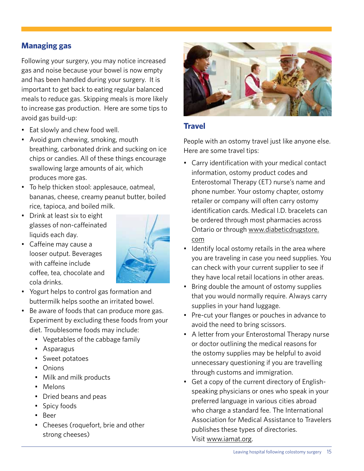### **Managing gas**

Following your surgery, you may notice increased gas and noise because your bowel is now empty and has been handled during your surgery. It is important to get back to eating regular balanced meals to reduce gas. Skipping meals is more likely to increase gas production. Here are some tips to avoid gas build-up:

- • Eat slowly and chew food well.
- Avoid gum chewing, smoking, mouth breathing, carbonated drink and sucking on ice chips or candies. All of these things encourage swallowing large amounts of air, which produces more gas.
- To help thicken stool: applesauce, oatmeal, bananas, cheese, creamy peanut butter, boiled rice, tapioca, and boiled milk.
- • Drink at least six to eight glasses of non-caffeinated liquids each day.
- • Caffeine may cause a looser output. Beverages with caffeine include coffee, tea, chocolate and cola drinks.



- • Yogurt helps to control gas formation and buttermilk helps soothe an irritated bowel.
- Be aware of foods that can produce more gas. Experiment by excluding these foods from your diet. Troublesome foods may include:
	- Vegetables of the cabbage family
	- • Asparagus
	- Sweet potatoes
	- • Onions
	- Milk and milk products
	- • Melons
	- Dried beans and peas
	- Spicy foods
	- • Beer

Ï

• Cheeses (roquefort, brie and other strong cheeses)



#### **Travel**

People with an ostomy travel just like anyone else. Here are some travel tips:

- Carry identification with your medical contact information, ostomy product codes and Enterostomal Therapy (ET) nurse's name and phone number. Your ostomy chapter, ostomy retailer or company will often carry ostomy identification cards. Medical I.D. bracelets can be ordered through most pharmacies across Ontario or through www.diabeticdrugstore. com
- Identify local ostomy retails in the area where you are traveling in case you need supplies. You can check with your current supplier to see if they have local retail locations in other areas.
- Bring double the amount of ostomy supplies that you would normally require. Always carry supplies in your hand luggage.
- Pre-cut your flanges or pouches in advance to avoid the need to bring scissors.
- A letter from your Enterostomal Therapy nurse or doctor outlining the medical reasons for the ostomy supplies may be helpful to avoid unnecessary questioning if you are travelling through customs and immigration.
- Get a copy of the current directory of Englishspeaking physicians or ones who speak in your preferred language in various cities abroad who charge a standard fee. The International Association for Medical Assistance to Travelers publishes these types of directories. Visit www.iamat.org.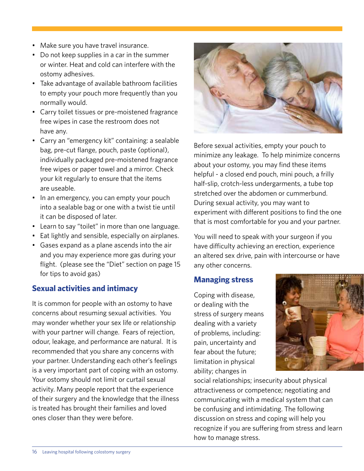- Make sure you have travel insurance.
- Do not keep supplies in a car in the summer or winter. Heat and cold can interfere with the ostomy adhesives.
- Take advantage of available bathroom facilities to empty your pouch more frequently than you normally would.
- Carry toilet tissues or pre-moistened fragrance free wipes in case the restroom does not have any.
- Carry an "emergency kit" containing: a sealable bag, pre-cut flange, pouch, paste (optional), individually packaged pre-moistened fragrance free wipes or paper towel and a mirror. Check your kit regularly to ensure that the items are useable.
- In an emergency, you can empty your pouch into a sealable bag or one with a twist tie until it can be disposed of later.
- Learn to say "toilet" in more than one language.
- Eat lightly and sensible, especially on airplanes.
- • Gases expand as a plane ascends into the air and you may experience more gas during your flight. (please see the "Diet" section on page 15 for tips to avoid gas)

### **Sexual activities and intimacy**

It is common for people with an ostomy to have concerns about resuming sexual activities. You may wonder whether your sex life or relationship with your partner will change. Fears of rejection, odour, leakage, and performance are natural. It is recommended that you share any concerns with your partner. Understanding each other's feelings is a very important part of coping with an ostomy. Your ostomy should not limit or curtail sexual activity. Many people report that the experience of their surgery and the knowledge that the illness is treated has brought their families and loved ones closer than they were before.



Before sexual activities, empty your pouch to minimize any leakage. To help minimize concerns about your ostomy, you may find these items helpful - a closed end pouch, mini pouch, a frilly half-slip, crotch-less undergarments, a tube top stretched over the abdomen or cummerbund. During sexual activity, you may want to experiment with different positions to find the one that is most comfortable for you and your partner.

You will need to speak with your surgeon if you have difficulty achieving an erection, experience an altered sex drive, pain with intercourse or have any other concerns.

#### **Managing stress**

Coping with disease, or dealing with the stress of surgery means dealing with a variety of problems, including: pain, uncertainty and fear about the future; limitation in physical ability; changes in



social relationships; insecurity about physical attractiveness or competence; negotiating and communicating with a medical system that can be confusing and intimidating. The following discussion on stress and coping will help you recognize if you are suffering from stress and learn how to manage stress.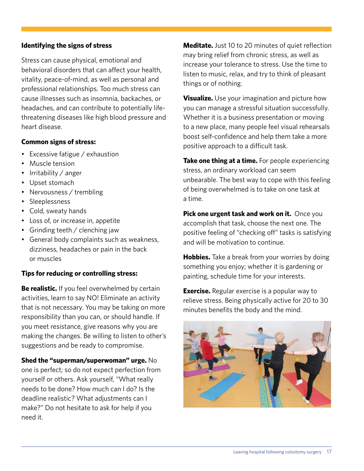#### **Identifying the signs of stress**

Stress can cause physical, emotional and behavioral disorders that can affect your health, vitality, peace-of-mind, as well as personal and professional relationships. Too much stress can cause illnesses such as insomnia, backaches, or headaches, and can contribute to potentially lifethreatening diseases like high blood pressure and heart disease.

#### **Common signs of stress:**

- Excessive fatigue / exhaustion
- Muscle tension
- Irritability / anger
- Upset stomach
- Nervousness / trembling
- Sleeplessness
- Cold, sweaty hands
- Loss of, or increase in, appetite
- Grinding teeth / clenching jaw
- General body complaints such as weakness, dizziness, headaches or pain in the back or muscles

#### **Tips for reducing or controlling stress:**

**Be realistic.** If you feel overwhelmed by certain activities, learn to say NO! Eliminate an activity that is not necessary. You may be taking on more responsibility than you can, or should handle. If you meet resistance, give reasons why you are making the changes. Be willing to listen to other's suggestions and be ready to compromise.

**Shed the "superman/superwoman" urge.** No one is perfect; so do not expect perfection from yourself or others. Ask yourself, "What really needs to be done? How much can I do? Is the deadline realistic? What adjustments can I make?" Do not hesitate to ask for help if you need it.

**Meditate.** Just 10 to 20 minutes of quiet reflection may bring relief from chronic stress, as well as increase your tolerance to stress. Use the time to listen to music, relax, and try to think of pleasant things or of nothing.

**Visualize.** Use your imagination and picture how you can manage a stressful situation successfully. Whether it is a business presentation or moving to a new place, many people feel visual rehearsals boost self-confidence and help them take a more positive approach to a difficult task.

**Take one thing at a time.** For people experiencing stress, an ordinary workload can seem unbearable. The best way to cope with this feeling of being overwhelmed is to take on one task at a time.

**Pick one urgent task and work on it.** Once you accomplish that task, choose the next one. The positive feeling of "checking off" tasks is satisfying and will be motivation to continue.

**Hobbies.** Take a break from your worries by doing something you enjoy; whether it is gardening or painting, schedule time for your interests.

**Exercise.** Regular exercise is a popular way to relieve stress. Being physically active for 20 to 30 minutes benefits the body and the mind.

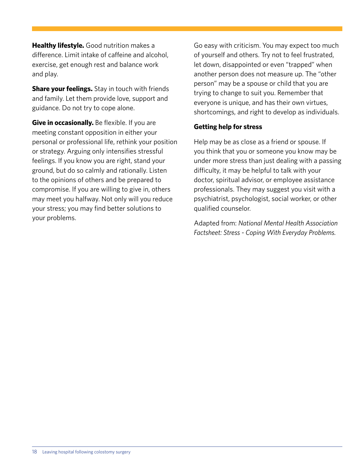**Healthy lifestyle.** Good nutrition makes a difference. Limit intake of caffeine and alcohol, exercise, get enough rest and balance work and play.

**Share your feelings.** Stay in touch with friends and family. Let them provide love, support and guidance. Do not try to cope alone.

**Give in occasionally.** Be flexible. If you are meeting constant opposition in either your personal or professional life, rethink your position or strategy. Arguing only intensifies stressful feelings. If you know you are right, stand your ground, but do so calmly and rationally. Listen to the opinions of others and be prepared to compromise. If you are willing to give in, others may meet you halfway. Not only will you reduce your stress; you may find better solutions to your problems.

Go easy with criticism. You may expect too much of yourself and others. Try not to feel frustrated, let down, disappointed or even "trapped" when another person does not measure up. The "other person" may be a spouse or child that you are trying to change to suit you. Remember that everyone is unique, and has their own virtues, shortcomings, and right to develop as individuals.

#### **Getting help for stress**

Help may be as close as a friend or spouse. If you think that you or someone you know may be under more stress than just dealing with a passing difficulty, it may be helpful to talk with your doctor, spiritual advisor, or employee assistance professionals. They may suggest you visit with a psychiatrist, psychologist, social worker, or other qualified counselor.

Adapted from: *National Mental Health Association Factsheet: Stress - Coping With Everyday Problems.*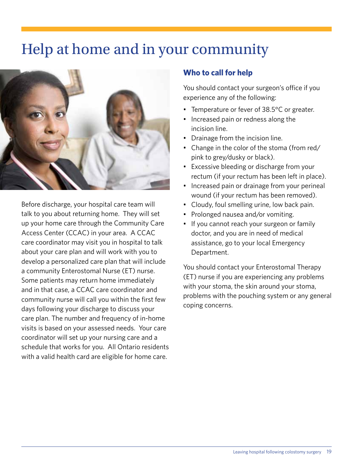## Help at home and in your community



Before discharge, your hospital care team will talk to you about returning home. They will set up your home care through the Community Care Access Center (CCAC) in your area. A CCAC care coordinator may visit you in hospital to talk about your care plan and will work with you to develop a personalized care plan that will include a community Enterostomal Nurse (ET) nurse. Some patients may return home immediately and in that case, a CCAC care coordinator and community nurse will call you within the first few days following your discharge to discuss your care plan. The number and frequency of in-home visits is based on your assessed needs. Your care coordinator will set up your nursing care and a schedule that works for you. All Ontario residents with a valid health card are eligible for home care.

#### **Who to call for help**

You should contact your surgeon's office if you experience any of the following:

- Temperature or fever of 38.5°C or greater.
- Increased pain or redness along the incision line.
- Drainage from the incision line.
- Change in the color of the stoma (from red/ pink to grey/dusky or black).
- Excessive bleeding or discharge from your rectum (if your rectum has been left in place).
- Increased pain or drainage from your perineal wound (if your rectum has been removed).
- Cloudy, foul smelling urine, low back pain.
- Prolonged nausea and/or vomiting.
- If you cannot reach your surgeon or family doctor, and you are in need of medical assistance, go to your local Emergency Department.

You should contact your Enterostomal Therapy (ET) nurse if you are experiencing any problems with your stoma, the skin around your stoma, problems with the pouching system or any general coping concerns.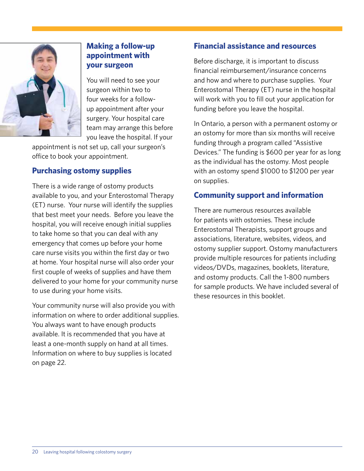

#### **Making a follow-up appointment with your surgeon**

You will need to see your surgeon within two to four weeks for a followup appointment after your surgery. Your hospital care team may arrange this before you leave the hospital. If your

appointment is not set up, call your surgeon's office to book your appointment.

#### **Purchasing ostomy supplies**

There is a wide range of ostomy products available to you, and your Enterostomal Therapy (ET) nurse. Your nurse will identify the supplies that best meet your needs. Before you leave the hospital, you will receive enough initial supplies to take home so that you can deal with any emergency that comes up before your home care nurse visits you within the first day or two at home. Your hospital nurse will also order your first couple of weeks of supplies and have them delivered to your home for your community nurse to use during your home visits.

Your community nurse will also provide you with information on where to order additional supplies. You always want to have enough products available. It is recommended that you have at least a one-month supply on hand at all times. Information on where to buy supplies is located on page 22.

#### **Financial assistance and resources**

Before discharge, it is important to discuss financial reimbursement/insurance concerns and how and where to purchase supplies. Your Enterostomal Therapy (ET) nurse in the hospital will work with you to fill out your application for funding before you leave the hospital.

In Ontario, a person with a permanent ostomy or an ostomy for more than six months will receive funding through a program called "Assistive Devices." The funding is \$600 per year for as long as the individual has the ostomy. Most people with an ostomy spend \$1000 to \$1200 per year on supplies.

### **Community support and information**

There are numerous resources available for patients with ostomies. These include Enterostomal Therapists, support groups and associations, literature, websites, videos, and ostomy supplier support. Ostomy manufacturers provide multiple resources for patients including videos/DVDs, magazines, booklets, literature, and ostomy products. Call the 1-800 numbers for sample products. We have included several of these resources in this booklet.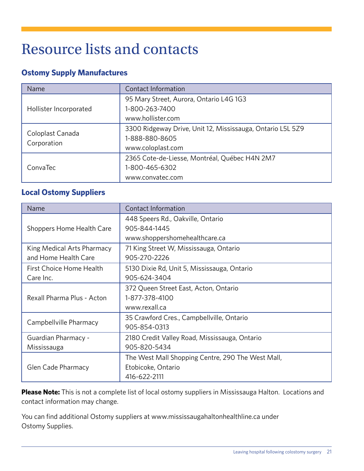## Resource lists and contacts

#### **Ostomy Supply Manufactures**

| Name                            | Contact Information                                                                               |
|---------------------------------|---------------------------------------------------------------------------------------------------|
| Hollister Incorporated          | 95 Mary Street, Aurora, Ontario L4G 1G3<br>1-800-263-7400<br>www.hollister.com                    |
| Coloplast Canada<br>Corporation | 3300 Ridgeway Drive, Unit 12, Mississauga, Ontario L5L 5Z9<br>1-888-880-8605<br>www.coloplast.com |
| ConvaTec                        | 2365 Cote-de-Liesse, Montréal, Québec H4N 2M7<br>1-800-465-6302<br>www.convatec.com               |

#### **Local Ostomy Suppliers**

| Name                       | Contact Information                               |
|----------------------------|---------------------------------------------------|
|                            | 448 Speers Rd., Oakville, Ontario                 |
| Shoppers Home Health Care  | 905-844-1445                                      |
|                            | www.shoppershomehealthcare.ca                     |
| King Medical Arts Pharmacy | 71 King Street W, Mississauga, Ontario            |
| and Home Health Care       | 905-270-2226                                      |
| First Choice Home Health   | 5130 Dixie Rd, Unit 5, Mississauga, Ontario       |
| Care Inc.                  | 905-624-3404                                      |
|                            | 372 Queen Street East, Acton, Ontario             |
| Rexall Pharma Plus - Acton | 1-877-378-4100                                    |
|                            | www.rexall.ca                                     |
| Campbellville Pharmacy     | 35 Crawford Cres., Campbellville, Ontario         |
|                            | 905-854-0313                                      |
| Guardian Pharmacy -        | 2180 Credit Valley Road, Mississauga, Ontario     |
| Mississauga                | 905-820-5434                                      |
|                            | The West Mall Shopping Centre, 290 The West Mall, |
| Glen Cade Pharmacy         | Etobicoke, Ontario                                |
|                            | 416-622-2111                                      |

**Please Note:** This is not a complete list of local ostomy suppliers in Mississauga Halton. Locations and contact information may change.

You can find additional Ostomy suppliers at www.mississaugahaltonhealthline.ca under Ostomy Supplies.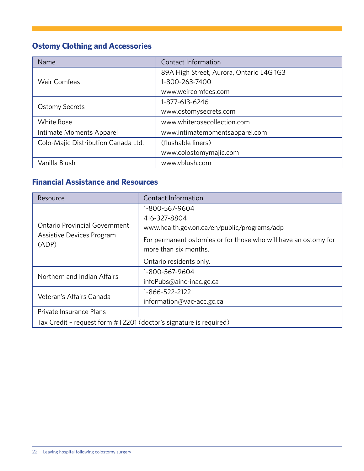## **Ostomy Clothing and Accessories**

| Name                                | Contact Information                      |  |
|-------------------------------------|------------------------------------------|--|
|                                     | 89A High Street, Aurora, Ontario L4G 1G3 |  |
| <b>Weir Comfees</b>                 | 1-800-263-7400                           |  |
|                                     | www.weircomfees.com                      |  |
|                                     | 1-877-613-6246                           |  |
| <b>Ostomy Secrets</b>               | www.ostomysecrets.com                    |  |
| <b>White Rose</b>                   | www.whiterosecollection.com              |  |
| Intimate Moments Apparel            | www.intimatemomentsapparel.com           |  |
| Colo-Majic Distribution Canada Ltd. | (flushable liners)                       |  |
|                                     | www.colostomymajic.com                   |  |
| Vanilla Blush                       | www.vblush.com                           |  |

### **Financial Assistance and Resources**

| Resource                                                          | Contact Information                                                                      |  |
|-------------------------------------------------------------------|------------------------------------------------------------------------------------------|--|
|                                                                   | 1-800-567-9604                                                                           |  |
|                                                                   | 416-327-8804                                                                             |  |
| <b>Ontario Provincial Government</b>                              | www.health.gov.on.ca/en/public/programs/adp                                              |  |
| Assistive Devices Program<br>(ADP)                                | For permanent ostomies or for those who will have an ostomy for<br>more than six months. |  |
|                                                                   | Ontario residents only.                                                                  |  |
|                                                                   |                                                                                          |  |
| Northern and Indian Affairs                                       | 1-800-567-9604                                                                           |  |
|                                                                   | infoPubs@ainc-inac.gc.ca                                                                 |  |
|                                                                   | 1-866-522-2122                                                                           |  |
| Veteran's Affairs Canada                                          | information@vac-acc.gc.ca                                                                |  |
| Private Insurance Plans                                           |                                                                                          |  |
| Tax Credit - request form #T2201 (doctor's signature is required) |                                                                                          |  |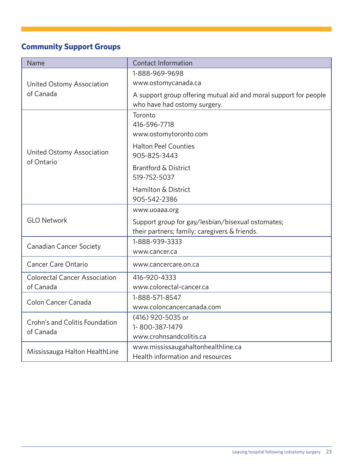## **Community Support Groups**

| Name                                        | Contact Information                                                                              |  |  |
|---------------------------------------------|--------------------------------------------------------------------------------------------------|--|--|
|                                             | 1-888-969-9698                                                                                   |  |  |
| United Ostomy Association                   | www.ostomycanada.ca                                                                              |  |  |
| of Canada                                   | A support group offering mutual aid and moral support for people<br>who have had ostomy surgery. |  |  |
|                                             | Toronto                                                                                          |  |  |
|                                             | 416-596-7718                                                                                     |  |  |
|                                             | www.ostomytoronto.com                                                                            |  |  |
|                                             | <b>Halton Peel Counties</b>                                                                      |  |  |
| United Ostomy Association<br>of Ontario     | 905-825-3443                                                                                     |  |  |
|                                             | <b>Brantford &amp; District</b>                                                                  |  |  |
|                                             | 519-752-5037                                                                                     |  |  |
|                                             | Hamilton & District                                                                              |  |  |
|                                             | 905-542-2386                                                                                     |  |  |
|                                             | www.uoaaa.org                                                                                    |  |  |
| <b>GLO Network</b>                          | Support group for gay/lesbian/bisexual ostomates;                                                |  |  |
|                                             | their partners; family; caregivers & friends.                                                    |  |  |
| <b>Canadian Cancer Society</b>              | 1-888-939-3333                                                                                   |  |  |
|                                             | www.cancer.ca                                                                                    |  |  |
| <b>Cancer Care Ontario</b>                  | www.cancercare.on.ca                                                                             |  |  |
| <b>Colorectal Cancer Association</b>        | 416-920-4333                                                                                     |  |  |
| of Canada                                   | www.colorectal-cancer.ca                                                                         |  |  |
| Colon Cancer Canada                         | 1-888-571-8547                                                                                   |  |  |
|                                             | www.coloncancercanada.com                                                                        |  |  |
| Crohn's and Colitis Foundation<br>of Canada | (416) 920-5035 or                                                                                |  |  |
|                                             | 1-800-387-1479                                                                                   |  |  |
|                                             | www.crohnsandcolitis.ca                                                                          |  |  |
| Mississauga Halton HealthLine               | www.mississaugahaltonhealthline.ca                                                               |  |  |
|                                             | Health information and resources                                                                 |  |  |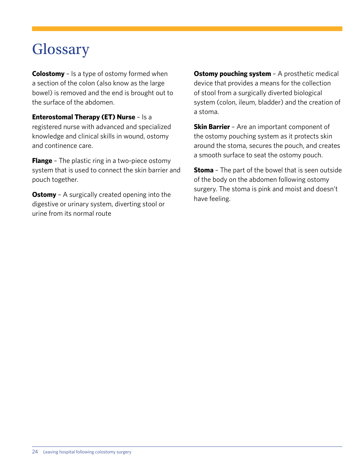## **Glossary**

**Colostomy** – Is a type of ostomy formed when a section of the colon (also know as the large bowel) is removed and the end is brought out to the surface of the abdomen.

**Enterostomal Therapy (ET) Nurse** – Is a registered nurse with advanced and specialized knowledge and clinical skills in wound, ostomy and continence care.

**Flange** - The plastic ring in a two-piece ostomy system that is used to connect the skin barrier and pouch together.

**Ostomy** - A surgically created opening into the digestive or urinary system, diverting stool or urine from its normal route

**Ostomy pouching system** - A prosthetic medical device that provides a means for the collection of stool from a surgically diverted biological system (colon, ileum, bladder) and the creation of a stoma.

**Skin Barrier** - Are an important component of the ostomy pouching system as it protects skin around the stoma, secures the pouch, and creates a smooth surface to seat the ostomy pouch.

**Stoma** – The part of the bowel that is seen outside of the body on the abdomen following ostomy surgery. The stoma is pink and moist and doesn't have feeling.